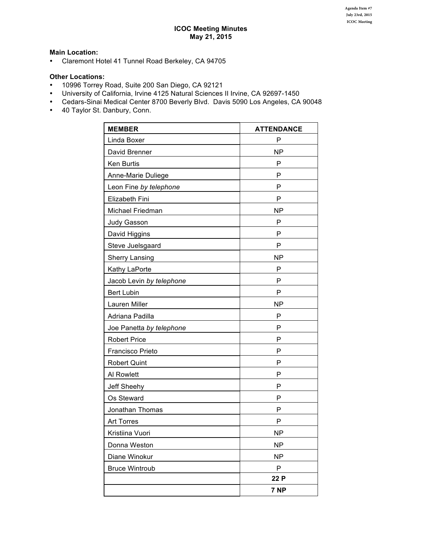# **Main Location:**

• Claremont Hotel 41 Tunnel Road Berkeley, CA 94705

# **Other Locations:**

- 10996 Torrey Road, Suite 200 San Diego, CA 92121
- University of California, Irvine 4125 Natural Sciences II Irvine, CA 92697-1450<br>• Cedars-Sinai Medical Center 8700 Beverly Blvd. Davis 5090 Los Angeles. CA
- Cedars-Sinai Medical Center 8700 Beverly Blvd. Davis 5090 Los Angeles, CA 90048<br>• 40 Tavlor St. Danbury. Conn.
- 40 Taylor St. Danbury, Conn.

| <b>MEMBER</b>            | <b>ATTENDANCE</b> |
|--------------------------|-------------------|
| Linda Boxer              | P                 |
| David Brenner            | <b>NP</b>         |
| Ken Burtis               | P                 |
| Anne-Marie Duliege       | P                 |
| Leon Fine by telephone   | Ρ                 |
| Elizabeth Fini           | P                 |
| Michael Friedman         | <b>NP</b>         |
| Judy Gasson              | P                 |
| David Higgins            | P                 |
| Steve Juelsgaard         | P                 |
| <b>Sherry Lansing</b>    | <b>NP</b>         |
| Kathy LaPorte            | P                 |
| Jacob Levin by telephone | P                 |
| <b>Bert Lubin</b>        | P                 |
| Lauren Miller            | <b>NP</b>         |
| Adriana Padilla          | P                 |
| Joe Panetta by telephone | P                 |
| <b>Robert Price</b>      | P                 |
| Francisco Prieto         | P                 |
| <b>Robert Quint</b>      | P                 |
| Al Rowlett               | Р                 |
| Jeff Sheehy              | P                 |
| Os Steward               | P                 |
| Jonathan Thomas          | Р                 |
| <b>Art Torres</b>        | P                 |
| Kristiina Vuori          | <b>NP</b>         |
| Donna Weston             | <b>NP</b>         |
| Diane Winokur            | <b>NP</b>         |
| <b>Bruce Wintroub</b>    | P                 |
|                          | 22 P              |
|                          | 7 <sub>NP</sub>   |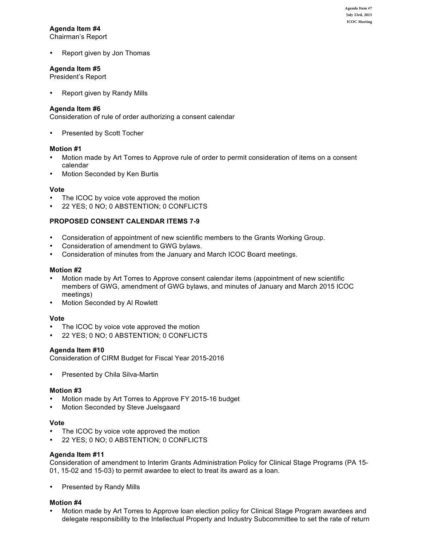# **Agenda Item #4**

Chairman's Report

Report given by Jon Thomas

# **Agenda Item #5**

President's Report

Report given by Randy Mills

# **Agenda Item #6**

Consideration of rule of order authorizing a consent calendar

Presented by Scott Tocher

## **Motion #1**

- Motion made by Art Torres to Approve rule of order to permit consideration of items on a consent calendar
- Motion Seconded by Ken Burtis

# **Vote**

- The ICOC by voice vote approved the motion
- 22 YES; 0 NO; 0 ABSTENTION; 0 CONFLICTS

# **PROPOSED CONSENT CALENDAR ITEMS 7-9**

- Consideration of appointment of new scientific members to the Grants Working Group.
- Consideration of amendment to GWG bylaws.
- Consideration of minutes from the January and March ICOC Board meetings.

# **Motion #2**

- Motion made by Art Torres to Approve consent calendar items (appointment of new scientific members of GWG, amendment of GWG bylaws, and minutes of January and March 2015 ICOC meetings)
- Motion Seconded by Al Rowlett

## **Vote**

- The ICOC by voice vote approved the motion
- 22 YES: 0 NO: 0 ABSTENTION: 0 CONFLICTS

# **Agenda Item #10**

Consideration of CIRM Budget for Fiscal Year 2015-2016

Presented by Chila Silva-Martin

## **Motion #3**

- Motion made by Art Torres to Approve FY 2015-16 budget
- Motion Seconded by Steve Juelsgaard

## **Vote**

- The ICOC by voice vote approved the motion
- 22 YES; 0 NO; 0 ABSTENTION; 0 CONFLICTS

## Agenda Item #11

Consideration of amendment to Interim Grants Administration Policy for Clinical Stage Programs (PA 15-01, 15-02 and 15-03) to permit awardee to elect to treat its award as a loan.

Presented by Randy Mills

# **Motion #4**

Motion made by Art Torres to Approve loan election policy for Clinical Stage Program awardees and delegate responsibility to the Intellectual Property and Industry Subcommittee to set the rate of return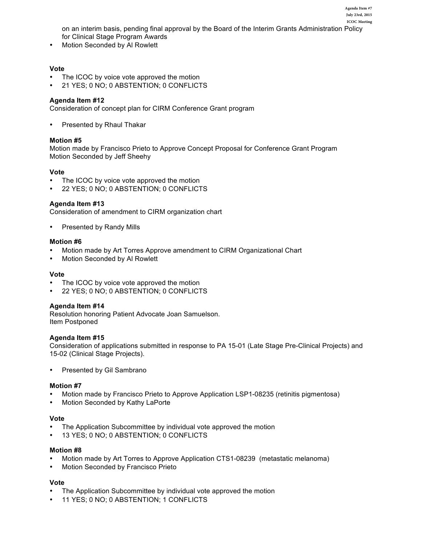on an interim basis, pending final approval by the Board of the Interim Grants Administration Policy for Clinical Stage Program Awards **ICOC Meeting**

**Agenda Item #7 July 23rd, 2015**

Motion Seconded by Al Rowlett

# **Vote**

- The ICOC by voice vote approved the motion
- 21 YES; 0 NO; 0 ABSTENTION; 0 CONFLICTS

# Agenda Item #12

Consideration of concept plan for CIRM Conference Grant program

Presented by Rhaul Thakar

# **Motion #5**

Motion made by Francisco Prieto to Approve Concept Proposal for Conference Grant Program Motion Seconded by Jeff Sheehy

## **Vote**

- The ICOC by voice vote approved the motion
- 22 YES; 0 NO; 0 ABSTENTION; 0 CONFLICTS

# Agenda Item #13

Consideration of amendment to CIRM organization chart

Presented by Randy Mills

## **Motion #6**

- Motion made by Art Torres Approve amendment to CIRM Organizational Chart
- Motion Seconded by Al Rowlett

## **Vote**

- The ICOC by voice vote approved the motion
- 22 YES; 0 NO; 0 ABSTENTION; 0 CONFLICTS

## **Agenda Item #14**

Resolution honoring Patient Advocate Joan Samuelson. Item Postponed

## Agenda Item #15

Consideration of applications submitted in response to PA 15-01 (Late Stage Pre-Clinical Projects) and 15-02 (Clinical Stage Projects).

Presented by Gil Sambrano

## **Motion #7**

- Motion made by Francisco Prieto to Approve Application LSP1-08235 (retinitis pigmentosa)
- Motion Seconded by Kathy LaPorte

## **Vote**

- The Application Subcommittee by individual vote approved the motion
- 13 YES: 0 NO: 0 ABSTENTION: 0 CONFLICTS

## **Motion #8**

- Motion made by Art Torres to Approve Application CTS1-08239 (metastatic melanoma)
- Motion Seconded by Francisco Prieto

## **Vote**

- The Application Subcommittee by individual vote approved the motion
- 11 YES; 0 NO; 0 ABSTENTION; 1 CONFLICTS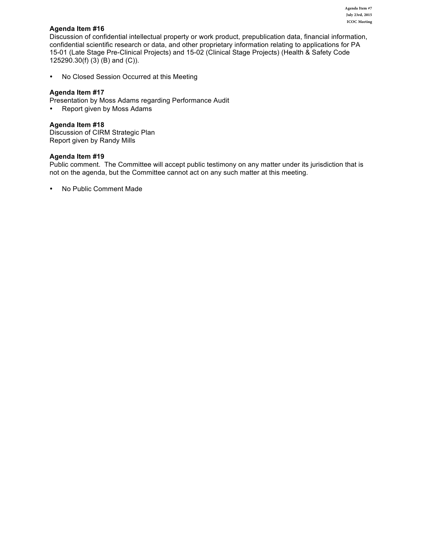# Agenda Item #16

Discussion of confidential intellectual property or work product, prepublication data, financial information, confidential scientific research or data, and other proprietary information relating to applications for PA 15-01 (Late Stage Pre-Clinical Projects) and 15-02 (Clinical Stage Projects) (Health & Safety Code 125290.30(f) (3) (B) and (C)).

• No Closed Session Occurred at this Meeting

# **Agenda Item #17**

Presentation by Moss Adams regarding Performance Audit

• Report given by Moss Adams

# Agenda Item #18

Discussion of CIRM Strategic Plan Report given by Randy Mills

## Agenda Item #19

Public comment. The Committee will accept public testimony on any matter under its jurisdiction that is not on the agenda, but the Committee cannot act on any such matter at this meeting.

• No Public Comment Made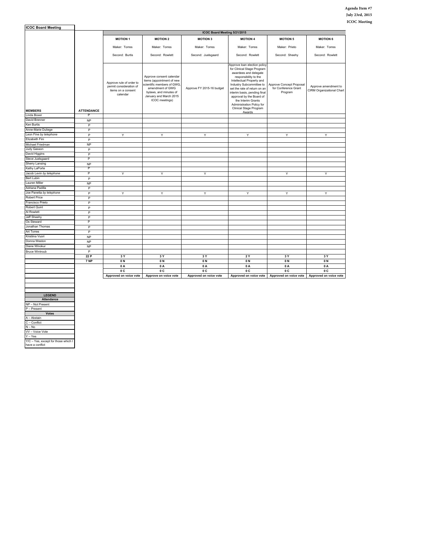| <b>ICOC Board Meeting</b> |                        |                                                                                       |                                                                                                                                                                               |                           |                                                                                                                                                                                                                                                                                                                                                          |                                                             |                                                   |
|---------------------------|------------------------|---------------------------------------------------------------------------------------|-------------------------------------------------------------------------------------------------------------------------------------------------------------------------------|---------------------------|----------------------------------------------------------------------------------------------------------------------------------------------------------------------------------------------------------------------------------------------------------------------------------------------------------------------------------------------------------|-------------------------------------------------------------|---------------------------------------------------|
|                           |                        | ICOC Board Meeting 5/21/2015                                                          |                                                                                                                                                                               |                           |                                                                                                                                                                                                                                                                                                                                                          |                                                             |                                                   |
|                           |                        | <b>MOTION 1</b>                                                                       | <b>MOTION 2</b>                                                                                                                                                               | <b>MOTION 3</b>           | <b>MOTION 4</b>                                                                                                                                                                                                                                                                                                                                          | <b>MOTION 5</b>                                             | <b>MOTION 6</b>                                   |
|                           |                        | Maker: Torres                                                                         | Maker: Torres                                                                                                                                                                 | Maker: Torres             | Maker: Torres                                                                                                                                                                                                                                                                                                                                            | Maker: Prieto                                               | Maker: Torres                                     |
|                           |                        | Second: Burtis                                                                        | Second: Rowlett                                                                                                                                                               | Second: Juelsgaard        | Second: Rowlett                                                                                                                                                                                                                                                                                                                                          | Second: Sheehy                                              | Second: Rowlett                                   |
| <b>MEMBERS</b>            | <b>ATTENDANCE</b>      | Approve rule of order to<br>permit consideration of<br>items on a consent<br>calendar | Approve consent calendar<br>items (appointment of new<br>scientific members of GWG,<br>amendment of GWG<br>bylaws, and minutes of<br>January and March 2015<br>ICOC meetings) | Approve FY 2015-16 budget | Approve loan election policy<br>for Clinical Stage Program<br>awardees and delegate<br>responsibility to the<br>Intellectual Property and<br>Industry Subcommittee to<br>set the rate of return on an<br>interim basis, pending final<br>approval by the Board of<br>the Interim Grants<br>Administration Policy for<br>Clinical Stage Program<br>Awards | Approve Concept Proposal<br>for Conference Grant<br>Program | Approve amendment to<br>CIRM Organizational Chart |
| Linda Boxer               |                        |                                                                                       |                                                                                                                                                                               |                           |                                                                                                                                                                                                                                                                                                                                                          |                                                             |                                                   |
| David Brenner             | <b>NP</b>              |                                                                                       |                                                                                                                                                                               |                           |                                                                                                                                                                                                                                                                                                                                                          |                                                             |                                                   |
| Ken Burtis                | $\overline{P}$         |                                                                                       |                                                                                                                                                                               |                           |                                                                                                                                                                                                                                                                                                                                                          |                                                             |                                                   |
| Anne-Marie Duliege        | P                      |                                                                                       |                                                                                                                                                                               |                           |                                                                                                                                                                                                                                                                                                                                                          |                                                             |                                                   |
| Leon Fine by telephone    | P                      | Y                                                                                     | Y                                                                                                                                                                             | Y                         | Y                                                                                                                                                                                                                                                                                                                                                        | Y                                                           | Y                                                 |
| Elizabeth Fini            | P                      |                                                                                       |                                                                                                                                                                               |                           |                                                                                                                                                                                                                                                                                                                                                          |                                                             |                                                   |
| Michael Friedman          | <b>NP</b>              |                                                                                       |                                                                                                                                                                               |                           |                                                                                                                                                                                                                                                                                                                                                          |                                                             |                                                   |
| Judy Gasson               | P                      |                                                                                       |                                                                                                                                                                               |                           |                                                                                                                                                                                                                                                                                                                                                          |                                                             |                                                   |
| David Higgins             | P                      |                                                                                       |                                                                                                                                                                               |                           |                                                                                                                                                                                                                                                                                                                                                          |                                                             |                                                   |
| Steve Juelsgaard          | P                      |                                                                                       |                                                                                                                                                                               |                           |                                                                                                                                                                                                                                                                                                                                                          |                                                             |                                                   |
| Sherry Lansing            | <b>NP</b>              |                                                                                       |                                                                                                                                                                               |                           |                                                                                                                                                                                                                                                                                                                                                          |                                                             |                                                   |
| Kathy LaPorte             | P                      |                                                                                       |                                                                                                                                                                               |                           |                                                                                                                                                                                                                                                                                                                                                          |                                                             |                                                   |
| Jacob Levin by telephone  | P                      | Υ                                                                                     | Y                                                                                                                                                                             | Y                         |                                                                                                                                                                                                                                                                                                                                                          | Y                                                           | Υ                                                 |
| Bert Lubin                | P                      |                                                                                       |                                                                                                                                                                               |                           |                                                                                                                                                                                                                                                                                                                                                          |                                                             |                                                   |
| Lauren Miller             | <b>NP</b>              |                                                                                       |                                                                                                                                                                               |                           |                                                                                                                                                                                                                                                                                                                                                          |                                                             |                                                   |
| Adriana Padilla           | P                      |                                                                                       |                                                                                                                                                                               |                           |                                                                                                                                                                                                                                                                                                                                                          |                                                             |                                                   |
| Joe Panetta by telephone  | $\overline{P}$         | Ϋ                                                                                     | Ÿ                                                                                                                                                                             | Y                         | Y                                                                                                                                                                                                                                                                                                                                                        | Ÿ                                                           | Υ                                                 |
| <b>Robert Price</b>       | P                      |                                                                                       |                                                                                                                                                                               |                           |                                                                                                                                                                                                                                                                                                                                                          |                                                             |                                                   |
| Francisco Prieto          | P                      |                                                                                       |                                                                                                                                                                               |                           |                                                                                                                                                                                                                                                                                                                                                          |                                                             |                                                   |
| <b>Robert Quint</b>       | P                      |                                                                                       |                                                                                                                                                                               |                           |                                                                                                                                                                                                                                                                                                                                                          |                                                             |                                                   |
| Al Rowlett                | P                      |                                                                                       |                                                                                                                                                                               |                           |                                                                                                                                                                                                                                                                                                                                                          |                                                             |                                                   |
| Jeff Sheehy               | P                      |                                                                                       |                                                                                                                                                                               |                           |                                                                                                                                                                                                                                                                                                                                                          |                                                             |                                                   |
| Os Steward                | P                      |                                                                                       |                                                                                                                                                                               |                           |                                                                                                                                                                                                                                                                                                                                                          |                                                             |                                                   |
| Jonathan Thomas           | P                      |                                                                                       |                                                                                                                                                                               |                           |                                                                                                                                                                                                                                                                                                                                                          |                                                             |                                                   |
| <b>Art Torres</b>         | $\overline{P}$         |                                                                                       |                                                                                                                                                                               |                           |                                                                                                                                                                                                                                                                                                                                                          |                                                             |                                                   |
| Kristiina Vuori           | <b>NP</b>              |                                                                                       |                                                                                                                                                                               |                           |                                                                                                                                                                                                                                                                                                                                                          |                                                             |                                                   |
| Donna Weston              | <b>NP</b>              |                                                                                       |                                                                                                                                                                               |                           |                                                                                                                                                                                                                                                                                                                                                          |                                                             |                                                   |
| Diane Winokur             | <b>NP</b>              |                                                                                       |                                                                                                                                                                               |                           |                                                                                                                                                                                                                                                                                                                                                          |                                                             |                                                   |
| <b>Bruce Wintroub</b>     | $\overline{P}$<br>22 P | 3 Y                                                                                   | 3Y                                                                                                                                                                            | 3 Y                       | <b>2Y</b>                                                                                                                                                                                                                                                                                                                                                | 3Y                                                          | 3 Y                                               |
|                           | 7 NP                   | 0N                                                                                    | 0N                                                                                                                                                                            | 0N                        | 0N                                                                                                                                                                                                                                                                                                                                                       | 0N                                                          | 0N                                                |
|                           |                        | 0A                                                                                    | 0A                                                                                                                                                                            | 0A                        | 0A                                                                                                                                                                                                                                                                                                                                                       | 0A                                                          | 0A                                                |
|                           |                        | 0 C                                                                                   | 0 C                                                                                                                                                                           | 0 <sup>C</sup>            | 0 <sup>C</sup>                                                                                                                                                                                                                                                                                                                                           | 0 <sup>C</sup>                                              | 0C                                                |
|                           |                        | Approved on voice vote                                                                | Approve on voice vote                                                                                                                                                         | Approved on voice vote    | Approved on voice vote                                                                                                                                                                                                                                                                                                                                   | Approved on voice vote                                      | Approved on voice vote                            |
|                           |                        |                                                                                       |                                                                                                                                                                               |                           |                                                                                                                                                                                                                                                                                                                                                          |                                                             |                                                   |
|                           |                        |                                                                                       |                                                                                                                                                                               |                           |                                                                                                                                                                                                                                                                                                                                                          |                                                             |                                                   |

**LEGEND Attendance** NP – Not Present P – Present

**Votes**

Y/C – Yes, except for those which I have a conflict

A – Abstain C – Conflict N – No V – Voice Vote Y – Yes